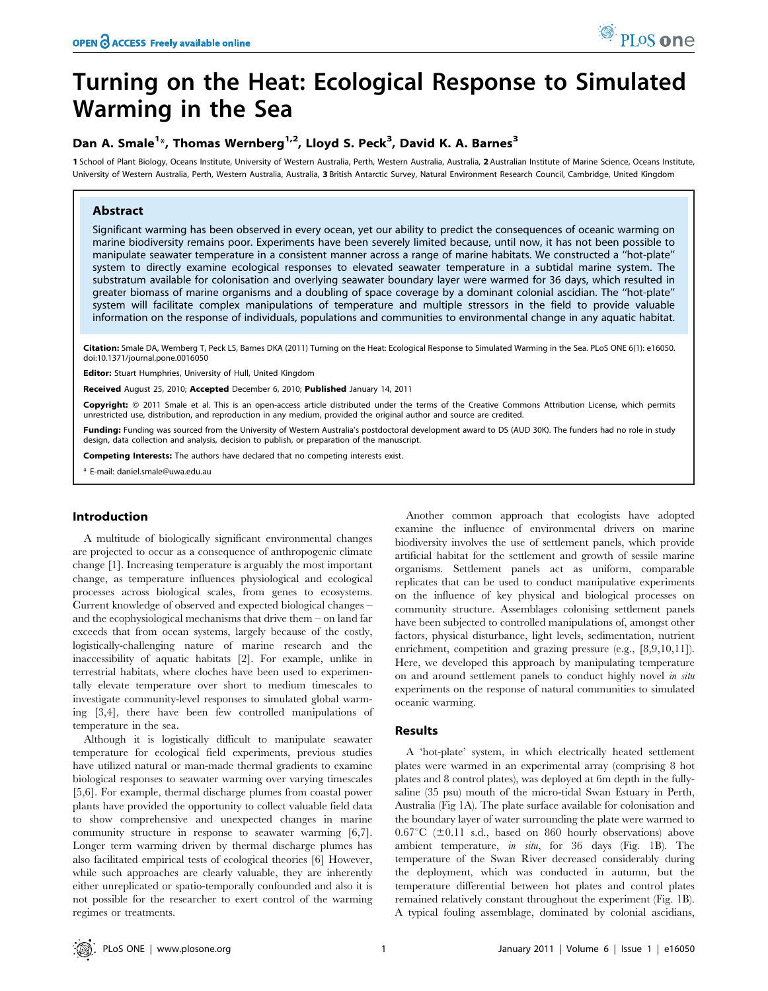# Turning on the Heat: Ecological Response to Simulated Warming in the Sea

# Dan A. Smale<sup>1\*</sup>, Thomas Wernberg<sup>1,2</sup>, Lloyd S. Peck<sup>3</sup>, David K. A. Barnes<sup>3</sup>

1 School of Plant Biology, Oceans Institute, University of Western Australia, Perth, Western Australia, Australia, 2 Australian Institute of Marine Science, Oceans Institute, University of Western Australia, Perth, Western Australia, Australia, 3 British Antarctic Survey, Natural Environment Research Council, Cambridge, United Kingdom

# Abstract

Significant warming has been observed in every ocean, yet our ability to predict the consequences of oceanic warming on marine biodiversity remains poor. Experiments have been severely limited because, until now, it has not been possible to manipulate seawater temperature in a consistent manner across a range of marine habitats. We constructed a ''hot-plate'' system to directly examine ecological responses to elevated seawater temperature in a subtidal marine system. The substratum available for colonisation and overlying seawater boundary layer were warmed for 36 days, which resulted in greater biomass of marine organisms and a doubling of space coverage by a dominant colonial ascidian. The ''hot-plate'' system will facilitate complex manipulations of temperature and multiple stressors in the field to provide valuable information on the response of individuals, populations and communities to environmental change in any aquatic habitat.

Citation: Smale DA, Wernberg T, Peck LS, Barnes DKA (2011) Turning on the Heat: Ecological Response to Simulated Warming in the Sea. PLoS ONE 6(1): e16050. doi:10.1371/journal.pone.0016050

Editor: Stuart Humphries, University of Hull, United Kingdom

Received August 25, 2010; Accepted December 6, 2010; Published January 14, 2011

Copyright: © 2011 Smale et al. This is an open-access article distributed under the terms of the Creative Commons Attribution License, which permits unrestricted use, distribution, and reproduction in any medium, provided the original author and source are credited.

Funding: Funding was sourced from the University of Western Australia's postdoctoral development award to DS (AUD 30K). The funders had no role in study design, data collection and analysis, decision to publish, or preparation of the manuscript.

Competing Interests: The authors have declared that no competing interests exist.

\* E-mail: daniel.smale@uwa.edu.au

#### Introduction

A multitude of biologically significant environmental changes are projected to occur as a consequence of anthropogenic climate change [1]. Increasing temperature is arguably the most important change, as temperature influences physiological and ecological processes across biological scales, from genes to ecosystems. Current knowledge of observed and expected biological changes – and the ecophysiological mechanisms that drive them – on land far exceeds that from ocean systems, largely because of the costly, logistically-challenging nature of marine research and the inaccessibility of aquatic habitats [2]. For example, unlike in terrestrial habitats, where cloches have been used to experimentally elevate temperature over short to medium timescales to investigate community-level responses to simulated global warming [3,4], there have been few controlled manipulations of temperature in the sea.

Although it is logistically difficult to manipulate seawater temperature for ecological field experiments, previous studies have utilized natural or man-made thermal gradients to examine biological responses to seawater warming over varying timescales [5,6]. For example, thermal discharge plumes from coastal power plants have provided the opportunity to collect valuable field data to show comprehensive and unexpected changes in marine community structure in response to seawater warming [6,7]. Longer term warming driven by thermal discharge plumes has also facilitated empirical tests of ecological theories [6] However, while such approaches are clearly valuable, they are inherently either unreplicated or spatio-temporally confounded and also it is not possible for the researcher to exert control of the warming regimes or treatments.

Another common approach that ecologists have adopted examine the influence of environmental drivers on marine biodiversity involves the use of settlement panels, which provide artificial habitat for the settlement and growth of sessile marine organisms. Settlement panels act as uniform, comparable replicates that can be used to conduct manipulative experiments on the influence of key physical and biological processes on community structure. Assemblages colonising settlement panels have been subjected to controlled manipulations of, amongst other factors, physical disturbance, light levels, sedimentation, nutrient enrichment, competition and grazing pressure (e.g., [8,9,10,11]). Here, we developed this approach by manipulating temperature on and around settlement panels to conduct highly novel in situ experiments on the response of natural communities to simulated oceanic warming.

#### Results

A 'hot-plate' system, in which electrically heated settlement plates were warmed in an experimental array (comprising 8 hot plates and 8 control plates), was deployed at 6m depth in the fullysaline (35 psu) mouth of the micro-tidal Swan Estuary in Perth, Australia (Fig 1A). The plate surface available for colonisation and the boundary layer of water surrounding the plate were warmed to  $0.67^{\circ}C$  ( $\pm 0.11$  s.d., based on 860 hourly observations) above ambient temperature, in situ, for 36 days (Fig. 1B). The temperature of the Swan River decreased considerably during the deployment, which was conducted in autumn, but the temperature differential between hot plates and control plates remained relatively constant throughout the experiment (Fig. 1B). A typical fouling assemblage, dominated by colonial ascidians,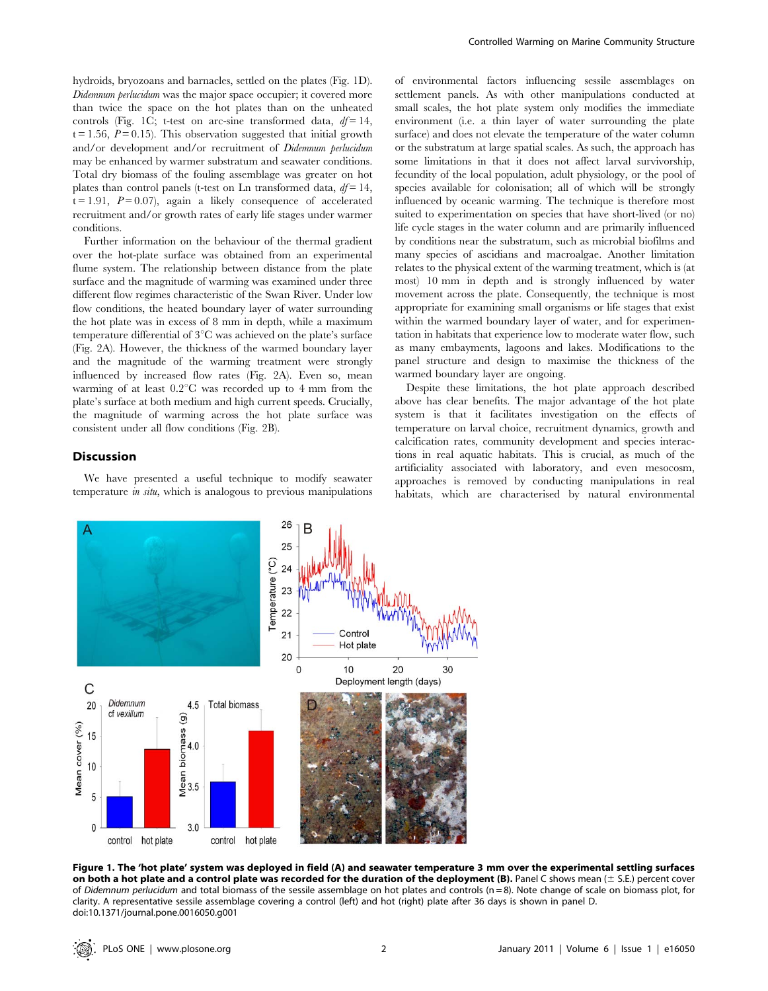hydroids, bryozoans and barnacles, settled on the plates (Fig. 1D). Didemnum perlucidum was the major space occupier; it covered more than twice the space on the hot plates than on the unheated controls (Fig. 1C; t-test on arc-sine transformed data,  $df = 14$ ,  $t = 1.56$ ,  $P = 0.15$ ). This observation suggested that initial growth and/or development and/or recruitment of Didemnum perlucidum may be enhanced by warmer substratum and seawater conditions. Total dry biomass of the fouling assemblage was greater on hot plates than control panels (t-test on Ln transformed data,  $df = 14$ ,  $t = 1.91$ ,  $P = 0.07$ , again a likely consequence of accelerated recruitment and/or growth rates of early life stages under warmer conditions.

Further information on the behaviour of the thermal gradient over the hot-plate surface was obtained from an experimental flume system. The relationship between distance from the plate surface and the magnitude of warming was examined under three different flow regimes characteristic of the Swan River. Under low flow conditions, the heated boundary layer of water surrounding the hot plate was in excess of 8 mm in depth, while a maximum temperature differential of  $3^{\circ}$ C was achieved on the plate's surface (Fig. 2A). However, the thickness of the warmed boundary layer and the magnitude of the warming treatment were strongly influenced by increased flow rates (Fig. 2A). Even so, mean warming of at least  $0.2^{\circ}C$  was recorded up to 4 mm from the plate's surface at both medium and high current speeds. Crucially, the magnitude of warming across the hot plate surface was consistent under all flow conditions (Fig. 2B).

### Discussion

We have presented a useful technique to modify seawater temperature *in situ*, which is analogous to previous manipulations of environmental factors influencing sessile assemblages on settlement panels. As with other manipulations conducted at small scales, the hot plate system only modifies the immediate environment (i.e. a thin layer of water surrounding the plate surface) and does not elevate the temperature of the water column or the substratum at large spatial scales. As such, the approach has some limitations in that it does not affect larval survivorship, fecundity of the local population, adult physiology, or the pool of species available for colonisation; all of which will be strongly influenced by oceanic warming. The technique is therefore most suited to experimentation on species that have short-lived (or no) life cycle stages in the water column and are primarily influenced by conditions near the substratum, such as microbial biofilms and many species of ascidians and macroalgae. Another limitation relates to the physical extent of the warming treatment, which is (at most) 10 mm in depth and is strongly influenced by water movement across the plate. Consequently, the technique is most appropriate for examining small organisms or life stages that exist within the warmed boundary layer of water, and for experimentation in habitats that experience low to moderate water flow, such as many embayments, lagoons and lakes. Modifications to the panel structure and design to maximise the thickness of the warmed boundary layer are ongoing.

Despite these limitations, the hot plate approach described above has clear benefits. The major advantage of the hot plate system is that it facilitates investigation on the effects of temperature on larval choice, recruitment dynamics, growth and calcification rates, community development and species interactions in real aquatic habitats. This is crucial, as much of the artificiality associated with laboratory, and even mesocosm, approaches is removed by conducting manipulations in real habitats, which are characterised by natural environmental



Figure 1. The 'hot plate' system was deployed in field (A) and seawater temperature 3 mm over the experimental settling surfaces on both a hot plate and a control plate was recorded for the duration of the deployment (B). Panel C shows mean ( $\pm$  S.E.) percent cover of Didemnum perlucidum and total biomass of the sessile assemblage on hot plates and controls (n = 8). Note change of scale on biomass plot, for clarity. A representative sessile assemblage covering a control (left) and hot (right) plate after 36 days is shown in panel D. doi:10.1371/journal.pone.0016050.g001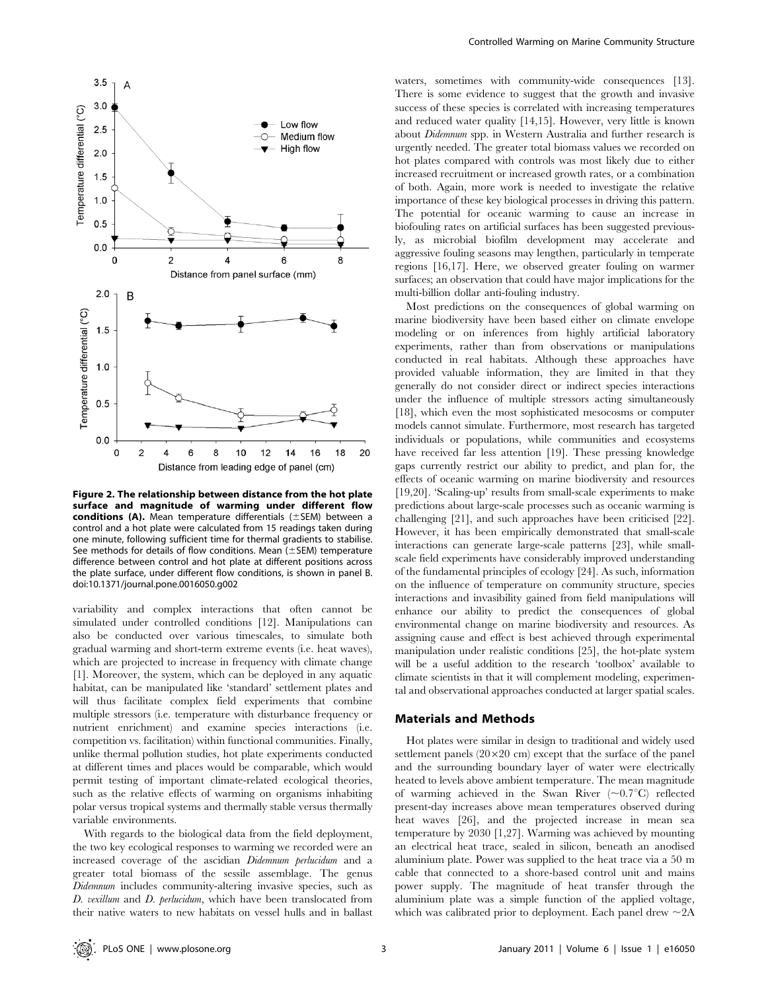

Figure 2. The relationship between distance from the hot plate surface and magnitude of warming under different flow conditions (A). Mean temperature differentials  $(\pm$ SEM) between a control and a hot plate were calculated from 15 readings taken during one minute, following sufficient time for thermal gradients to stabilise. See methods for details of flow conditions. Mean  $(\pm$  SEM) temperature difference between control and hot plate at different positions across the plate surface, under different flow conditions, is shown in panel B. doi:10.1371/journal.pone.0016050.g002

variability and complex interactions that often cannot be simulated under controlled conditions [12]. Manipulations can also be conducted over various timescales, to simulate both gradual warming and short-term extreme events (i.e. heat waves), which are projected to increase in frequency with climate change [1]. Moreover, the system, which can be deployed in any aquatic habitat, can be manipulated like 'standard' settlement plates and will thus facilitate complex field experiments that combine multiple stressors (i.e. temperature with disturbance frequency or nutrient enrichment) and examine species interactions (i.e. competition vs. facilitation) within functional communities. Finally, unlike thermal pollution studies, hot plate experiments conducted at different times and places would be comparable, which would permit testing of important climate-related ecological theories, such as the relative effects of warming on organisms inhabiting polar versus tropical systems and thermally stable versus thermally variable environments.

With regards to the biological data from the field deployment, the two key ecological responses to warming we recorded were an increased coverage of the ascidian Didemnum perlucidum and a greater total biomass of the sessile assemblage. The genus Didemnum includes community-altering invasive species, such as D. vexillum and D. perlucidum, which have been translocated from their native waters to new habitats on vessel hulls and in ballast

waters, sometimes with community-wide consequences [13]. There is some evidence to suggest that the growth and invasive success of these species is correlated with increasing temperatures and reduced water quality [14,15]. However, very little is known about Didemnum spp. in Western Australia and further research is urgently needed. The greater total biomass values we recorded on hot plates compared with controls was most likely due to either increased recruitment or increased growth rates, or a combination of both. Again, more work is needed to investigate the relative importance of these key biological processes in driving this pattern. The potential for oceanic warming to cause an increase in biofouling rates on artificial surfaces has been suggested previously, as microbial biofilm development may accelerate and aggressive fouling seasons may lengthen, particularly in temperate regions [16,17]. Here, we observed greater fouling on warmer surfaces; an observation that could have major implications for the multi-billion dollar anti-fouling industry.

Most predictions on the consequences of global warming on marine biodiversity have been based either on climate envelope modeling or on inferences from highly artificial laboratory experiments, rather than from observations or manipulations conducted in real habitats. Although these approaches have provided valuable information, they are limited in that they generally do not consider direct or indirect species interactions under the influence of multiple stressors acting simultaneously [18], which even the most sophisticated mesocosms or computer models cannot simulate. Furthermore, most research has targeted individuals or populations, while communities and ecosystems have received far less attention [19]. These pressing knowledge gaps currently restrict our ability to predict, and plan for, the effects of oceanic warming on marine biodiversity and resources [19,20]. 'Scaling-up' results from small-scale experiments to make predictions about large-scale processes such as oceanic warming is challenging [21], and such approaches have been criticised [22]. However, it has been empirically demonstrated that small-scale interactions can generate large-scale patterns [23], while smallscale field experiments have considerably improved understanding of the fundamental principles of ecology [24]. As such, information on the influence of temperature on community structure, species interactions and invasibility gained from field manipulations will enhance our ability to predict the consequences of global environmental change on marine biodiversity and resources. As assigning cause and effect is best achieved through experimental manipulation under realistic conditions [25], the hot-plate system will be a useful addition to the research 'toolbox' available to climate scientists in that it will complement modeling, experimental and observational approaches conducted at larger spatial scales.

#### Materials and Methods

Hot plates were similar in design to traditional and widely used settlement panels  $(20\times20 \text{ cm})$  except that the surface of the panel and the surrounding boundary layer of water were electrically heated to levels above ambient temperature. The mean magnitude of warming achieved in the Swan River  $(\sim 0.7\textdegree C)$  reflected present-day increases above mean temperatures observed during heat waves [26], and the projected increase in mean sea temperature by 2030 [1,27]. Warming was achieved by mounting an electrical heat trace, sealed in silicon, beneath an anodised aluminium plate. Power was supplied to the heat trace via a 50 m cable that connected to a shore-based control unit and mains power supply. The magnitude of heat transfer through the aluminium plate was a simple function of the applied voltage, which was calibrated prior to deployment. Each panel drew  $\sim$  2A